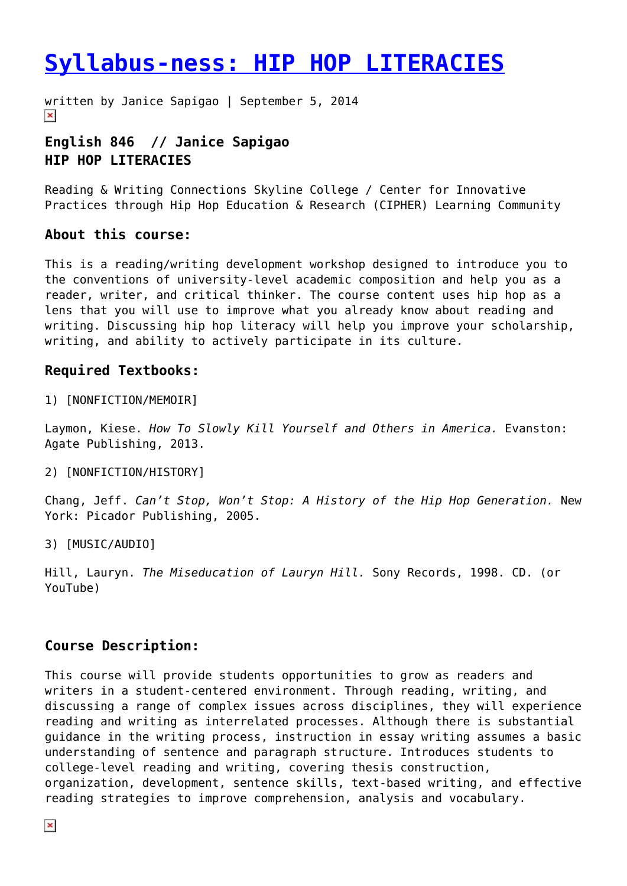# **[Syllabus-ness: HIP HOP LITERACIES](https://entropymag.org/syllabus-ness-hip-hop-literacies-true-notes/)**

written by Janice Sapigao | September 5, 2014  $\pmb{\times}$ 

## **English 846 // Janice Sapigao HIP HOP LITERACIES**

Reading & Writing Connections Skyline College / Center for Innovative Practices through Hip Hop Education & Research (CIPHER) Learning Community

#### **About this course:**

This is a reading/writing development workshop designed to introduce you to the conventions of university-level academic composition and help you as a reader, writer, and critical thinker. The course content uses hip hop as a lens that you will use to improve what you already know about reading and writing. Discussing hip hop literacy will help you improve your scholarship, writing, and ability to actively participate in its culture.

#### **Required Textbooks:**

1) [NONFICTION/MEMOIR]

Laymon, Kiese. *How To Slowly Kill Yourself and Others in America.* Evanston: Agate Publishing, 2013.

#### 2) [NONFICTION/HISTORY]

Chang, Jeff. *Can't Stop, Won't Stop: A History of the Hip Hop Generation.* New York: Picador Publishing, 2005.

3) [MUSIC/AUDIO]

Hill, Lauryn. *The Miseducation of Lauryn Hill.* Sony Records, 1998. CD. (or YouTube)

## **Course Description:**

This course will provide students opportunities to grow as readers and writers in a student-centered environment. Through reading, writing, and discussing a range of complex issues across disciplines, they will experience reading and writing as interrelated processes. Although there is substantial guidance in the writing process, instruction in essay writing assumes a basic understanding of sentence and paragraph structure. Introduces students to college-level reading and writing, covering thesis construction, organization, development, sentence skills, text-based writing, and effective reading strategies to improve comprehension, analysis and vocabulary.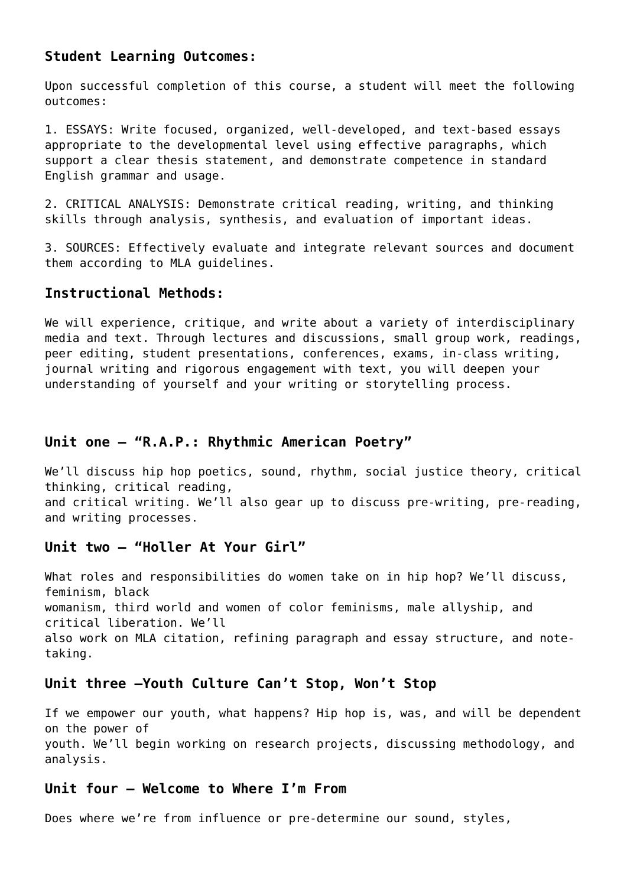#### **Student Learning Outcomes:**

Upon successful completion of this course, a student will meet the following outcomes:

1. ESSAYS: Write focused, organized, well-developed, and text-based essays appropriate to the developmental level using effective paragraphs, which support a clear thesis statement, and demonstrate competence in standard English grammar and usage.

2. CRITICAL ANALYSIS: Demonstrate critical reading, writing, and thinking skills through analysis, synthesis, and evaluation of important ideas.

3. SOURCES: Effectively evaluate and integrate relevant sources and document them according to MLA guidelines.

#### **Instructional Methods:**

We will experience, critique, and write about a variety of interdisciplinary media and text. Through lectures and discussions, small group work, readings, peer editing, student presentations, conferences, exams, in-class writing, journal writing and rigorous engagement with text, you will deepen your understanding of yourself and your writing or storytelling process.

#### **Unit one – "R.A.P.: Rhythmic American Poetry"**

We'll discuss hip hop poetics, sound, rhythm, social justice theory, critical thinking, critical reading, and critical writing. We'll also gear up to discuss pre-writing, pre-reading, and writing processes.

### **Unit two – "Holler At Your Girl"**

What roles and responsibilities do women take on in hip hop? We'll discuss, feminism, black womanism, third world and women of color feminisms, male allyship, and critical liberation. We'll also work on MLA citation, refining paragraph and essay structure, and notetaking.

#### **Unit three –Youth Culture Can't Stop, Won't Stop**

If we empower our youth, what happens? Hip hop is, was, and will be dependent on the power of youth. We'll begin working on research projects, discussing methodology, and analysis.

#### **Unit four – Welcome to Where I'm From**

Does where we're from influence or pre-determine our sound, styles,